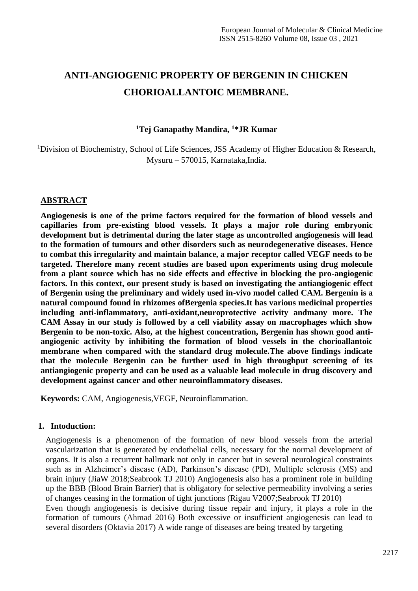# **ANTI-ANGIOGENIC PROPERTY OF BERGENIN IN CHICKEN CHORIOALLANTOIC MEMBRANE.**

### **<sup>1</sup>Tej Ganapathy Mandira, <sup>1</sup>\*JR Kumar**

<sup>1</sup>Division of Biochemistry, School of Life Sciences, JSS Academy of Higher Education  $\&$  Research, Mysuru – 570015, Karnataka,India.

### **ABSTRACT**

**Angiogenesis is one of the prime factors required for the formation of blood vessels and capillaries from pre-existing blood vessels. It plays a major role during embryonic development but is detrimental during the later stage as uncontrolled angiogenesis will lead to the formation of tumours and other disorders such as neurodegenerative diseases. Hence to combat this irregularity and maintain balance, a major receptor called VEGF needs to be targeted. Therefore many recent studies are based upon experiments using drug molecule from a plant source which has no side effects and effective in blocking the pro-angiogenic factors. In this context, our present study is based on investigating the antiangiogenic effect of Bergenin using the preliminary and widely used in-vivo model called CAM. Bergenin is a natural compound found in rhizomes ofBergenia species.It has various medicinal properties including anti-inflammatory, anti-oxidant,neuroprotective activity andmany more. The CAM Assay in our study is followed by a cell viability assay on macrophages which show Bergenin to be non-toxic. Also, at the highest concentration, Bergenin has shown good antiangiogenic activity by inhibiting the formation of blood vessels in the chorioallantoic membrane when compared with the standard drug molecule.The above findings indicate that the molecule Bergenin can be further used in high throughput screening of its antiangiogenic property and can be used as a valuable lead molecule in drug discovery and development against cancer and other neuroinflammatory diseases.**

**Keywords:** CAM, Angiogenesis,VEGF, Neuroinflammation.

#### **1. Intoduction:**

Angiogenesis is a phenomenon of the formation of new blood vessels from the arterial vascularization that is generated by endothelial cells, necessary for the normal development of organs. It is also a recurrent hallmark not only in cancer but in several neurological constraints such as in Alzheimer's disease (AD), Parkinson's disease (PD), Multiple sclerosis (MS) and brain injury (JiaW 2018;Seabrook TJ 2010) Angiogenesis also has a prominent role in building up the BBB (Blood Brain Barrier) that is obligatory for selective permeability involving a series of changes ceasing in the formation of tight junctions (Rigau V2007;Seabrook TJ 2010) Even though angiogenesis is decisive during tissue repair and injury, it plays a role in the formation of tumours (Ahmad 2016) Both excessive or insufficient angiogenesis can lead to several disorders (Oktavia 2017) A wide range of diseases are being treated by targeting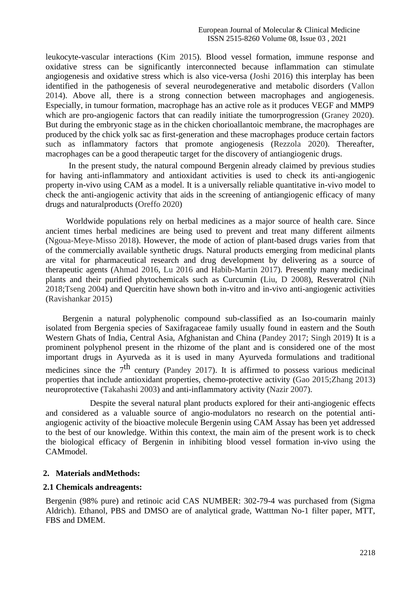leukocyte-vascular interactions (Kim 2015). Blood vessel formation, immune response and oxidative stress can be significantly interconnected because inflammation can stimulate angiogenesis and oxidative stress which is also vice-versa (Joshi 2016) this interplay has been identified in the pathogenesis of several neurodegenerative and metabolic disorders (Vallon 2014). Above all, there is a strong connection between macrophages and angiogenesis. Especially, in tumour formation, macrophage has an active role as it produces VEGF and MMP9 which are pro-angiogenic factors that can readily initiate the tumorprogression (Graney 2020). But during the embryonic stage as in the chicken chorioallantoic membrane, the macrophages are produced by the chick yolk sac as first-generation and these macrophages produce certain factors such as inflammatory factors that promote angiogenesis (Rezzola 2020). Thereafter, macrophages can be a good therapeutic target for the discovery of antiangiogenic drugs.

 In the present study, the natural compound Bergenin already claimed by previous studies for having anti-inflammatory and antioxidant activities is used to check its anti-angiogenic property in-vivo using CAM as a model. It is a universally reliable quantitative in-vivo model to check the anti-angiogenic activity that aids in the screening of antiangiogenic efficacy of many drugs and naturalproducts (Oreffo 2020)

Worldwide populations rely on herbal medicines as a major source of health care. Since ancient times herbal medicines are being used to prevent and treat many different ailments (Ngoua-Meye-Misso 2018). However, the mode of action of plant-based drugs varies from that of the commercially available synthetic drugs. Natural products emerging from medicinal plants are vital for pharmaceutical research and drug development by delivering as a source of therapeutic agents (Ahmad 2016, Lu 2016 and Habib-Martin 2017). Presently many medicinal plants and their purified phytochemicals such as Curcumin (Liu, D 2008), Resveratrol (Nih 2018;Tseng 2004) and Quercitin have shown both in-vitro and in-vivo anti-angiogenic activities (Ravishankar 2015)

 Bergenin a natural polyphenolic compound sub-classified as an Iso-coumarin mainly isolated from Bergenia species of Saxifragaceae family usually found in eastern and the South Western Ghats of India, Central Asia, Afghanistan and China (Pandey 2017; Singh 2019) It is a prominent polyphenol present in the rhizome of the plant and is considered one of the most important drugs in Ayurveda as it is used in many Ayurveda formulations and traditional medicines since the  $7<sup>th</sup>$  century (Pandey 2017). It is affirmed to possess various medicinal properties that include antioxidant properties, chemo-protective activity (Gao 2015;Zhang 2013) neuroprotective (Takahashi 2003) and anti-inflammatory activity (Nazir 2007).

Despite the several natural plant products explored for their anti-angiogenic effects and considered as a valuable source of angio-modulators no research on the potential antiangiogenic activity of the bioactive molecule Bergenin using CAM Assay has been yet addressed to the best of our knowledge. Within this context, the main aim of the present work is to check the biological efficacy of Bergenin in inhibiting blood vessel formation in-vivo using the CAMmodel.

#### **2. Materials andMethods:**

### **2.1 Chemicals andreagents:**

Bergenin (98% pure) and retinoic acid CAS NUMBER: 302-79-4 was purchased from (Sigma Aldrich). Ethanol, PBS and DMSO are of analytical grade, Watttman No-1 filter paper, MTT, FBS and DMEM.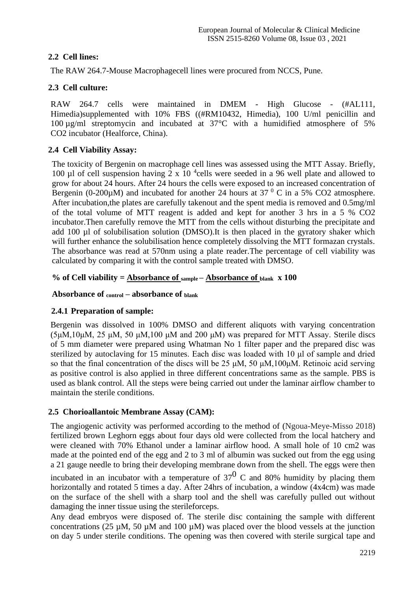# **2.2 Cell lines:**

The RAW 264.7-Mouse Macrophagecell lines were procured from NCCS, Pune.

# **2.3 Cell culture:**

RAW 264.7 cells were maintained in DMEM - High Glucose - (#AL111, Himedia)supplemented with 10% FBS ((#RM10432, Himedia), 100 U/ml penicillin and 100 µg/ml streptomycin and incubated at 37°C with a humidified atmosphere of 5% CO2 incubator (Healforce, China).

# **2.4 Cell Viability Assay:**

The toxicity of Bergenin on macrophage cell lines was assessed using the MTT Assay. Briefly, 100 µl of cell suspension having 2 x 10<sup>4</sup> cells were seeded in a 96 well plate and allowed to grow for about 24 hours. After 24 hours the cells were exposed to an increased concentration of Bergenin (0-200 $\mu$ M) and incubated for another 24 hours at 37  $\textdegree$  C in a 5% CO2 atmosphere. After incubation,the plates are carefully takenout and the spent media is removed and 0.5mg/ml of the total volume of MTT reagent is added and kept for another 3 hrs in a 5 % CO2 incubator.Then carefully remove the MTT from the cells without disturbing the precipitate and add 100 µl of solubilisation solution (DMSO).It is then placed in the gyratory shaker which will further enhance the solubilisation hence completely dissolving the MTT formazan crystals. The absorbance was read at 570nm using a plate reader.The percentage of cell viability was calculated by comparing it with the control sample treated with DMSO.

# % of Cell viability  $=$   $\frac{\text{Absorbane of}}{\text{sample}} - \frac{\text{Absorbane of}}{\text{blank}} \times 100$

# **Absorbance of control – absorbance of blank**

# **2.4.1 Preparation of sample:**

Bergenin was dissolved in 100% DMSO and different aliquots with varying concentration (5μM,10μM, 25 μM, 50 μM,100 μM and 200 μM) was prepared for MTT Assay. Sterile discs of 5 mm diameter were prepared using Whatman No 1 filter paper and the prepared disc was sterilized by autoclaving for 15 minutes. Each disc was loaded with 10 μl of sample and dried so that the final concentration of the discs will be 25  $\mu$ M, 50  $\mu$ M, 100 $\mu$ M. Retinoic acid serving as positive control is also applied in three different concentrations same as the sample. PBS is used as blank control. All the steps were being carried out under the laminar airflow chamber to maintain the sterile conditions.

# **2.5 Chorioallantoic Membrane Assay (CAM):**

The angiogenic activity was performed according to the method of (Ngoua-Meye-Misso 2018) fertilized brown Leghorn eggs about four days old were collected from the local hatchery and were cleaned with 70% Ethanol under a laminar airflow hood. A small hole of 10 cm2 was made at the pointed end of the egg and 2 to 3 ml of albumin was sucked out from the egg using a 21 gauge needle to bring their developing membrane down from the shell. The eggs were then

incubated in an incubator with a temperature of  $37^0$  C and 80% humidity by placing them horizontally and rotated 5 times a day. After 24hrs of incubation, a window (4x4cm) was made on the surface of the shell with a sharp tool and the shell was carefully pulled out without damaging the inner tissue using the sterileforceps.

Any dead embryos were disposed of. The sterile disc containing the sample with different concentrations (25  $\mu$ M, 50  $\mu$ M and 100  $\mu$ M) was placed over the blood vessels at the junction on day 5 under sterile conditions. The opening was then covered with sterile surgical tape and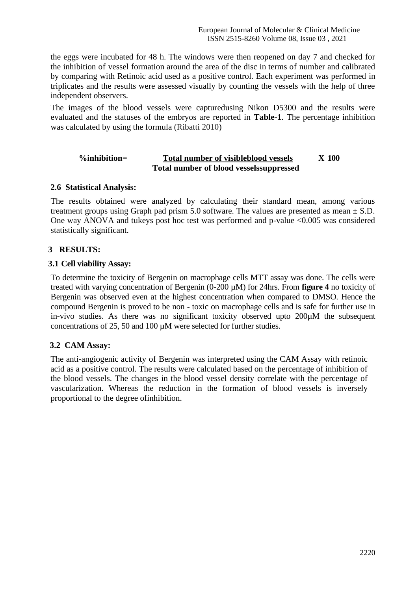the eggs were incubated for 48 h. The windows were then reopened on day 7 and checked for the inhibition of vessel formation around the area of the disc in terms of number and calibrated by comparing with Retinoic acid used as a positive control. Each experiment was performed in triplicates and the results were assessed visually by counting the vessels with the help of three independent observers.

The images of the blood vessels were capturedusing Nikon D5300 and the results were evaluated and the statuses of the embryos are reported in **Table-1**. The percentage inhibition was calculated by using the formula (Ribatti 2010)

### **%inhibition= Total number of visibleblood vessels X 100 Total number of blood vesselssuppressed**

### **2.6 Statistical Analysis:**

The results obtained were analyzed by calculating their standard mean, among various treatment groups using Graph pad prism 5.0 software. The values are presented as mean  $\pm$  S.D. One way ANOVA and tukeys post hoc test was performed and p-value <0.005 was considered statistically significant.

### **3 RESULTS:**

### **3.1 Cell viability Assay:**

To determine the toxicity of Bergenin on macrophage cells MTT assay was done. The cells were treated with varying concentration of Bergenin (0-200 µM) for 24hrs. From **figure 4** no toxicity of Bergenin was observed even at the highest concentration when compared to DMSO. Hence the compound Bergenin is proved to be non - toxic on macrophage cells and is safe for further use in in-vivo studies. As there was no significant toxicity observed upto 200µM the subsequent concentrations of 25, 50 and 100 µM were selected for further studies.

### **3.2 CAM Assay:**

The anti-angiogenic activity of Bergenin was interpreted using the CAM Assay with retinoic acid as a positive control. The results were calculated based on the percentage of inhibition of the blood vessels. The changes in the blood vessel density correlate with the percentage of vascularization. Whereas the reduction in the formation of blood vessels is inversely proportional to the degree ofinhibition.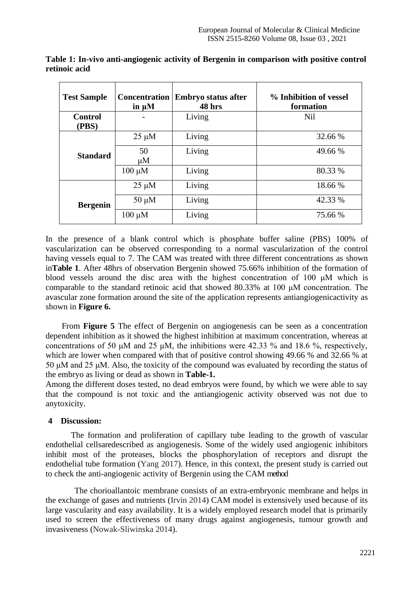| <b>Test Sample</b>      | <b>Concentration</b><br>in $\mu$ M | <b>Embryo status after</b><br>48 hrs | % Inhibition of vessel<br>formation |
|-------------------------|------------------------------------|--------------------------------------|-------------------------------------|
| <b>Control</b><br>(PBS) |                                    | Living                               | Nil                                 |
| <b>Standard</b>         | $25 \mu M$                         | Living                               | 32.66 %                             |
|                         | 50<br>$\mu$ M                      | Living                               | 49.66 %                             |
|                         | $100 \mu M$                        | Living                               | 80.33 %                             |
| <b>Bergenin</b>         | $25 \mu M$                         | Living                               | 18.66 %                             |
|                         | $50 \mu M$                         | Living                               | 42.33 %                             |
|                         | $100 \mu M$                        | Living                               | 75.66 %                             |

**Table 1: In-vivo anti-angiogenic activity of Bergenin in comparison with positive control retinoic acid**

In the presence of a blank control which is phosphate buffer saline (PBS) 100% of vascularization can be observed corresponding to a normal vascularization of the control having vessels equal to 7. The CAM was treated with three different concentrations as shown in**Table 1**. After 48hrs of observation Bergenin showed 75.66% inhibition of the formation of blood vessels around the disc area with the highest concentration of 100 μM which is comparable to the standard retinoic acid that showed 80.33% at 100 μM concentration. The avascular zone formation around the site of the application represents antiangiogenicactivity as shown in **Figure 6.**

From **Figure 5** The effect of Bergenin on angiogenesis can be seen as a concentration dependent inhibition as it showed the highest inhibition at maximum concentration, whereas at concentrations of 50  $\mu$ M and 25  $\mu$ M, the inhibitions were 42.33 % and 18.6 %, respectively, which are lower when compared with that of positive control showing 49.66 % and 32.66 % at 50 μM and 25 μM. Also, the toxicity of the compound was evaluated by recording the status of the embryo as living or dead as shown in **Table-1.**

Among the different doses tested, no dead embryos were found, by which we were able to say that the compound is not toxic and the antiangiogenic activity observed was not due to anytoxicity.

### **4 Discussion:**

 The formation and proliferation of capillary tube leading to the growth of vascular endothelial cellsaredescribed as angiogenesis. Some of the widely used angiogenic inhibitors inhibit most of the proteases, blocks the phosphorylation of receptors and disrupt the endothelial tube formation (Yang 2017). Hence, in this context, the present study is carried out to check the anti-angiogenic activity of Bergenin using the CAM method

 The chorioallantoic membrane consists of an extra-embryonic membrane and helps in the exchange of gases and nutrients (Irvin 2014) CAM model is extensively used because of its large vascularity and easy availability. It is a widely employed research model that is primarily used to screen the effectiveness of many drugs against angiogenesis, tumour growth and invasiveness (Nowak-Sliwinska 2014).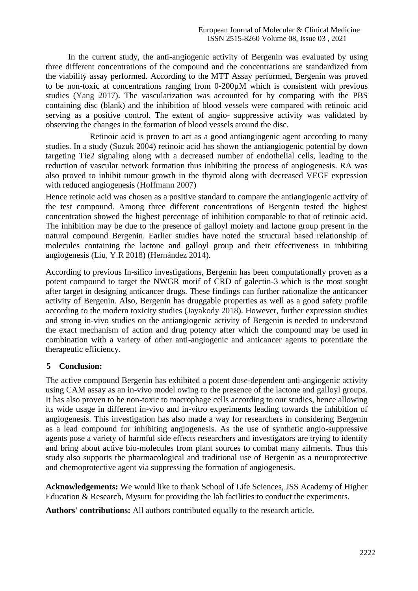In the current study, the anti-angiogenic activity of Bergenin was evaluated by using three different concentrations of the compound and the concentrations are standardized from the viability assay performed. According to the MTT Assay performed, Bergenin was proved to be non-toxic at concentrations ranging from 0-200µM which is consistent with previous studies (Yang 2017). The vascularization was accounted for by comparing with the PBS containing disc (blank) and the inhibition of blood vessels were compared with retinoic acid serving as a positive control. The extent of angio- suppressive activity was validated by observing the changes in the formation of blood vessels around the disc.

 Retinoic acid is proven to act as a good antiangiogenic agent according to many studies. In a study (Suzuk 2004) retinoic acid has shown the antiangiogenic potential by down targeting Tie2 signaling along with a decreased number of endothelial cells, leading to the reduction of vascular network formation thus inhibiting the process of angiogenesis. RA was also proved to inhibit tumour growth in the thyroid along with decreased VEGF expression with reduced angiogenesis (Hoffmann 2007)

Hence retinoic acid was chosen as a positive standard to compare the antiangiogenic activity of the test compound. Among three different concentrations of Bergenin tested the highest concentration showed the highest percentage of inhibition comparable to that of retinoic acid. The inhibition may be due to the presence of galloyl moiety and lactone group present in the natural compound Bergenin. Earlier studies have noted the structural based relationship of molecules containing the lactone and galloyl group and their effectiveness in inhibiting angiogenesis (Liu, Y.R 2018) (Hernández 2014).

According to previous In-silico investigations, Bergenin has been computationally proven as a potent compound to target the NWGR motif of CRD of galectin-3 which is the most sought after target in designing anticancer drugs. These findings can further rationalize the anticancer activity of Bergenin. Also, Bergenin has druggable properties as well as a good safety profile according to the modern toxicity studies (Jayakody 2018). However, further expression studies and strong in-vivo studies on the antiangiogenic activity of Bergenin is needed to understand the exact mechanism of action and drug potency after which the compound may be used in combination with a variety of other anti-angiogenic and anticancer agents to potentiate the therapeutic efficiency.

#### **5 Conclusion:**

The active compound Bergenin has exhibited a potent dose-dependent anti-angiogenic activity using CAM assay as an in-vivo model owing to the presence of the lactone and galloyl groups. It has also proven to be non-toxic to macrophage cells according to our studies, hence allowing its wide usage in different in-vivo and in-vitro experiments leading towards the inhibition of angiogenesis. This investigation has also made a way for researchers in considering Bergenin as a lead compound for inhibiting angiogenesis. As the use of synthetic angio-suppressive agents pose a variety of harmful side effects researchers and investigators are trying to identify and bring about active bio-molecules from plant sources to combat many ailments. Thus this study also supports the pharmacological and traditional use of Bergenin as a neuroprotective and chemoprotective agent via suppressing the formation of angiogenesis.

**Acknowledgements:** We would like to thank School of Life Sciences, JSS Academy of Higher Education & Research, Mysuru for providing the lab facilities to conduct the experiments.

**Authors' contributions:** All authors contributed equally to the research article.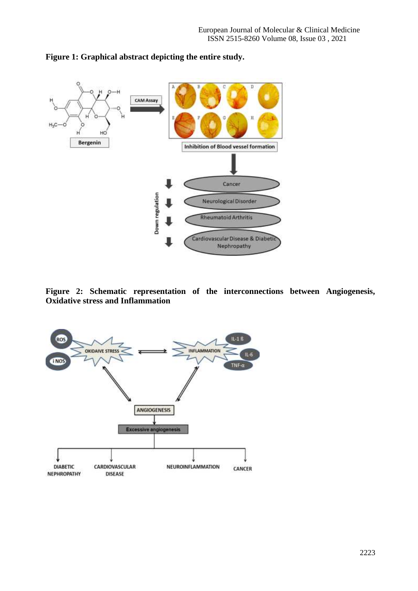

#### **Figure 1: Graphical abstract depicting the entire study.**

**Figure 2: Schematic representation of the interconnections between Angiogenesis, Oxidative stress and Inflammation**

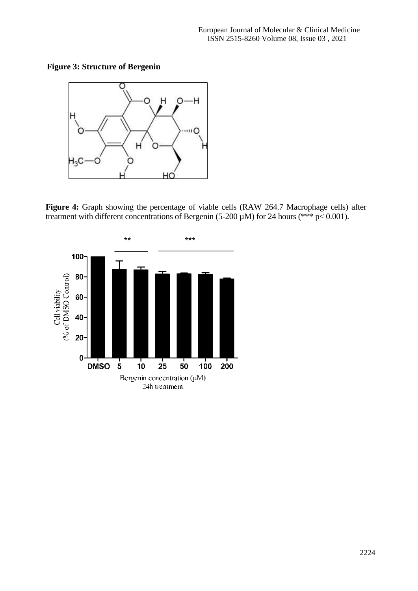**Figure 3: Structure of Bergenin**



**Figure 4:** Graph showing the percentage of viable cells (RAW 264.7 Macrophage cells) after treatment with different concentrations of Bergenin (5-200  $\mu$ M) for 24 hours (\*\*\* p< 0.001).

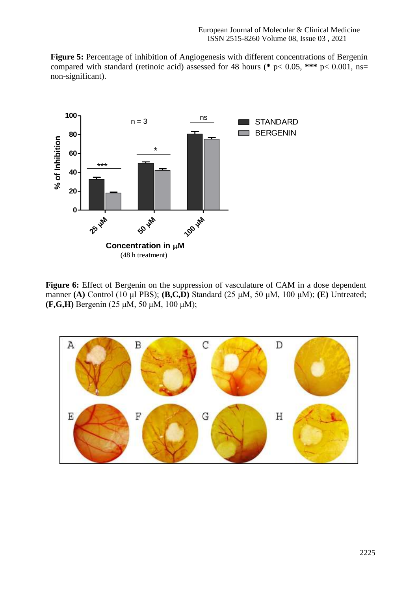**Figure 5:** Percentage of inhibition of Angiogenesis with different concentrations of Bergenin compared with standard (retinoic acid) assessed for 48 hours (**\*** p< 0.05, **\*\*\*** p< 0.001, ns= non-significant).



Figure 6: Effect of Bergenin on the suppression of vasculature of CAM in a dose dependent manner **(A)** Control (10 μl PBS); **(B,C,D)** Standard (25 μM, 50 μM, 100 μM); **(E)** Untreated; **(F,G,H)** Bergenin (25 μM, 50 μM, 100 μM);

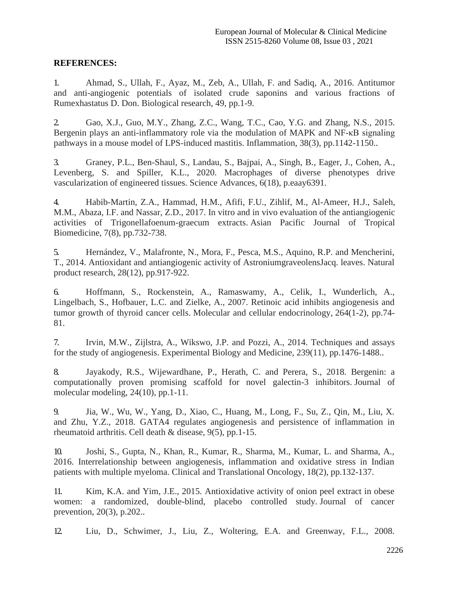#### **REFERENCES:**

1. Ahmad, S., Ullah, F., Ayaz, M., Zeb, A., Ullah, F. and Sadiq, A., 2016. Antitumor and anti-angiogenic potentials of isolated crude saponins and various fractions of Rumexhastatus D. Don. Biological research, 49, pp.1-9.

2. Gao, X.J., Guo, M.Y., Zhang, Z.C., Wang, T.C., Cao, Y.G. and Zhang, N.S., 2015. Bergenin plays an anti-inflammatory role via the modulation of MAPK and NF- $\kappa$ B signaling pathways in a mouse model of LPS-induced mastitis. Inflammation, 38(3), pp.1142-1150..

3. Graney, P.L., Ben-Shaul, S., Landau, S., Bajpai, A., Singh, B., Eager, J., Cohen, A., Levenberg, S. and Spiller, K.L., 2020. Macrophages of diverse phenotypes drive vascularization of engineered tissues. Science Advances, 6(18), p.eaay6391.

4. Habib-Martin, Z.A., Hammad, H.M., Afifi, F.U., Zihlif, M., Al-Ameer, H.J., Saleh, M.M., Abaza, I.F. and Nassar, Z.D., 2017. In vitro and in vivo evaluation of the antiangiogenic activities of Trigonellafoenum-graecum extracts. Asian Pacific Journal of Tropical Biomedicine, 7(8), pp.732-738.

5. Hernández, V., Malafronte, N., Mora, F., Pesca, M.S., Aquino, R.P. and Mencherini, T., 2014. Antioxidant and antiangiogenic activity of AstroniumgraveolensJacq. leaves. Natural product research, 28(12), pp.917-922.

6. Hoffmann, S., Rockenstein, A., Ramaswamy, A., Celik, I., Wunderlich, A., Lingelbach, S., Hofbauer, L.C. and Zielke, A., 2007. Retinoic acid inhibits angiogenesis and tumor growth of thyroid cancer cells. Molecular and cellular endocrinology, 264(1-2), pp.74- 81.

7. Irvin, M.W., Zijlstra, A., Wikswo, J.P. and Pozzi, A., 2014. Techniques and assays for the study of angiogenesis. Experimental Biology and Medicine, 239(11), pp.1476-1488..

8. Jayakody, R.S., Wijewardhane, P., Herath, C. and Perera, S., 2018. Bergenin: a computationally proven promising scaffold for novel galectin-3 inhibitors. Journal of molecular modeling, 24(10), pp.1-11.

9. Jia, W., Wu, W., Yang, D., Xiao, C., Huang, M., Long, F., Su, Z., Qin, M., Liu, X. and Zhu, Y.Z., 2018. GATA4 regulates angiogenesis and persistence of inflammation in rheumatoid arthritis. Cell death & disease, 9(5), pp.1-15.

10. Joshi, S., Gupta, N., Khan, R., Kumar, R., Sharma, M., Kumar, L. and Sharma, A., 2016. Interrelationship between angiogenesis, inflammation and oxidative stress in Indian patients with multiple myeloma. Clinical and Translational Oncology, 18(2), pp.132-137.

11. Kim, K.A. and Yim, J.E., 2015. Antioxidative activity of onion peel extract in obese women: a randomized, double-blind, placebo controlled study. Journal of cancer prevention, 20(3), p.202..

12. Liu, D., Schwimer, J., Liu, Z., Woltering, E.A. and Greenway, F.L., 2008.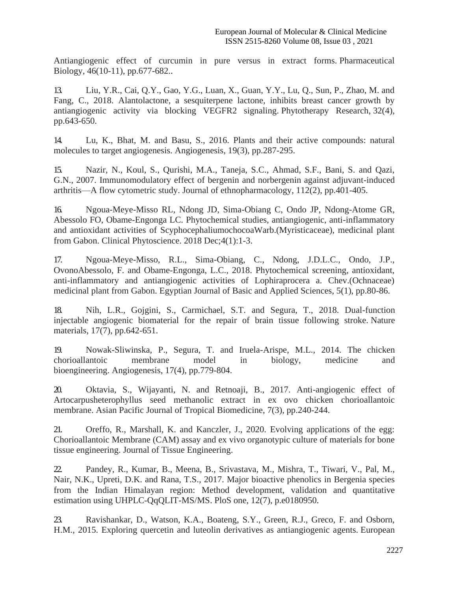Antiangiogenic effect of curcumin in pure versus in extract forms. Pharmaceutical Biology, 46(10-11), pp.677-682..

13. Liu, Y.R., Cai, Q.Y., Gao, Y.G., Luan, X., Guan, Y.Y., Lu, Q., Sun, P., Zhao, M. and Fang, C., 2018. Alantolactone, a sesquiterpene lactone, inhibits breast cancer growth by antiangiogenic activity via blocking VEGFR2 signaling. Phytotherapy Research, 32(4), pp.643-650.

14. Lu, K., Bhat, M. and Basu, S., 2016. Plants and their active compounds: natural molecules to target angiogenesis. Angiogenesis, 19(3), pp.287-295.

15. Nazir, N., Koul, S., Qurishi, M.A., Taneja, S.C., Ahmad, S.F., Bani, S. and Qazi, G.N., 2007. Immunomodulatory effect of bergenin and norbergenin against adjuvant-induced arthritis—A flow cytometric study. Journal of ethnopharmacology, 112(2), pp.401-405.

16. Ngoua-Meye-Misso RL, Ndong JD, Sima-Obiang C, Ondo JP, Ndong-Atome GR, Abessolo FO, Obame-Engonga LC. Phytochemical studies, antiangiogenic, anti-inflammatory and antioxidant activities of ScyphocephaliumochocoaWarb.(Myristicaceae), medicinal plant from Gabon. Clinical Phytoscience. 2018 Dec; 4(1): 1-3.

17. Ngoua-Meye-Misso, R.L., Sima-Obiang, C., Ndong, J.D.L.C., Ondo, J.P., OvonoAbessolo, F. and Obame-Engonga, L.C., 2018. Phytochemical screening, antioxidant, anti-inflammatory and antiangiogenic activities of Lophiraprocera a. Chev.(Ochnaceae) medicinal plant from Gabon. Egyptian Journal of Basic and Applied Sciences, 5(1), pp.80-86.

18. Nih, L.R., Gojgini, S., Carmichael, S.T. and Segura, T., 2018. Dual-function injectable angiogenic biomaterial for the repair of brain tissue following stroke. Nature materials, 17(7), pp.642-651.

19. Nowak-Sliwinska, P., Segura, T. and Iruela-Arispe, M.L., 2014. The chicken chorioallantoic membrane model in biology, medicine and bioengineering. Angiogenesis, 17(4), pp.779-804.

20. Oktavia, S., Wijayanti, N. and Retnoaji, B., 2017. Anti-angiogenic effect of Artocarpusheterophyllus seed methanolic extract in ex ovo chicken chorioallantoic membrane. Asian Pacific Journal of Tropical Biomedicine, 7(3), pp.240-244.

21. Oreffo, R., Marshall, K. and Kanczler, J., 2020. Evolving applications of the egg: Chorioallantoic Membrane (CAM) assay and ex vivo organotypic culture of materials for bone tissue engineering. Journal of Tissue Engineering.

22. Pandey, R., Kumar, B., Meena, B., Srivastava, M., Mishra, T., Tiwari, V., Pal, M., Nair, N.K., Upreti, D.K. and Rana, T.S., 2017. Major bioactive phenolics in Bergenia species from the Indian Himalayan region: Method development, validation and quantitative estimation using UHPLC-QqQLIT-MS/MS. PloS one, 12(7), p.e0180950.

23. Ravishankar, D., Watson, K.A., Boateng, S.Y., Green, R.J., Greco, F. and Osborn, H.M., 2015. Exploring quercetin and luteolin derivatives as antiangiogenic agents. European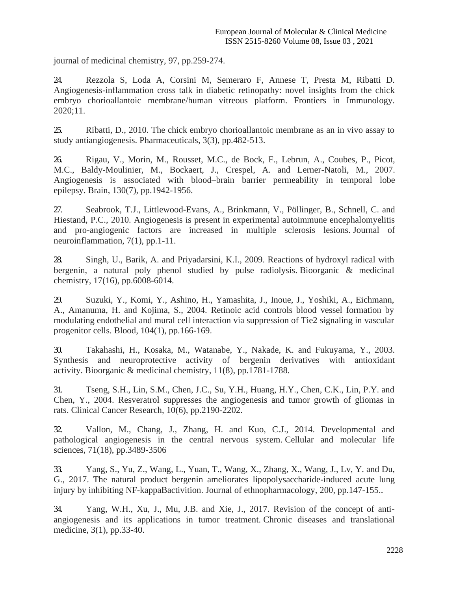journal of medicinal chemistry, 97, pp.259-274.

24. Rezzola S, Loda A, Corsini M, Semeraro F, Annese T, Presta M, Ribatti D. Angiogenesis-inflammation cross talk in diabetic retinopathy: novel insights from the chick embryo chorioallantoic membrane/human vitreous platform. Frontiers in Immunology. 2020;11.

25. Ribatti, D., 2010. The chick embryo chorioallantoic membrane as an in vivo assay to study antiangiogenesis. Pharmaceuticals, 3(3), pp.482-513.

26. Rigau, V., Morin, M., Rousset, M.C., de Bock, F., Lebrun, A., Coubes, P., Picot, M.C., Baldy-Moulinier, M., Bockaert, J., Crespel, A. and Lerner-Natoli, M., 2007. Angiogenesis is associated with blood–brain barrier permeability in temporal lobe epilepsy. Brain, 130(7), pp.1942-1956.

27. Seabrook, T.J., Littlewood-Evans, A., Brinkmann, V., Pöllinger, B., Schnell, C. and Hiestand, P.C., 2010. Angiogenesis is present in experimental autoimmune encephalomyelitis and pro-angiogenic factors are increased in multiple sclerosis lesions. Journal of neuroinflammation, 7(1), pp.1-11.

28. Singh, U., Barik, A. and Priyadarsini, K.I., 2009. Reactions of hydroxyl radical with bergenin, a natural poly phenol studied by pulse radiolysis. Bioorganic & medicinal chemistry, 17(16), pp.6008-6014.

29. Suzuki, Y., Komi, Y., Ashino, H., Yamashita, J., Inoue, J., Yoshiki, A., Eichmann, A., Amanuma, H. and Kojima, S., 2004. Retinoic acid controls blood vessel formation by modulating endothelial and mural cell interaction via suppression of Tie2 signaling in vascular progenitor cells. Blood, 104(1), pp.166-169.

30. Takahashi, H., Kosaka, M., Watanabe, Y., Nakade, K. and Fukuyama, Y., 2003. Synthesis and neuroprotective activity of bergenin derivatives with antioxidant activity. Bioorganic & medicinal chemistry, 11(8), pp.1781-1788.

31. Tseng, S.H., Lin, S.M., Chen, J.C., Su, Y.H., Huang, H.Y., Chen, C.K., Lin, P.Y. and Chen, Y., 2004. Resveratrol suppresses the angiogenesis and tumor growth of gliomas in rats. Clinical Cancer Research, 10(6), pp.2190-2202.

32. Vallon, M., Chang, J., Zhang, H. and Kuo, C.J., 2014. Developmental and pathological angiogenesis in the central nervous system. Cellular and molecular life sciences, 71(18), pp.3489-3506

33. Yang, S., Yu, Z., Wang, L., Yuan, T., Wang, X., Zhang, X., Wang, J., Lv, Y. and Du, G., 2017. The natural product bergenin ameliorates lipopolysaccharide-induced acute lung injury by inhibiting NF-kappaBactivition. Journal of ethnopharmacology, 200, pp.147-155..

34. Yang, W.H., Xu, J., Mu, J.B. and Xie, J., 2017. Revision of the concept of antiangiogenesis and its applications in tumor treatment. Chronic diseases and translational medicine, 3(1), pp.33-40.